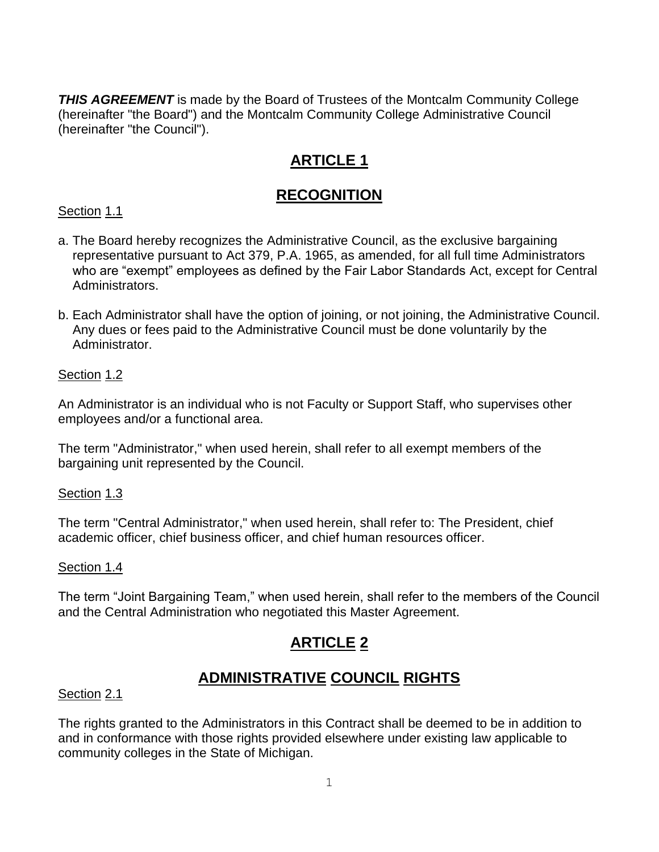**THIS AGREEMENT** is made by the Board of Trustees of the Montcalm Community College (hereinafter "the Board") and the Montcalm Community College Administrative Council (hereinafter "the Council").

# **ARTICLE 1**

### **RECOGNITION**

Section 1.1

- a. The Board hereby recognizes the Administrative Council, as the exclusive bargaining representative pursuant to Act 379, P.A. 1965, as amended, for all full time Administrators who are "exempt" employees as defined by the Fair Labor Standards Act, except for Central Administrators.
- b. Each Administrator shall have the option of joining, or not joining, the Administrative Council. Any dues or fees paid to the Administrative Council must be done voluntarily by the Administrator.

### Section 1.2

An Administrator is an individual who is not Faculty or Support Staff, who supervises other employees and/or a functional area.

The term "Administrator," when used herein, shall refer to all exempt members of the bargaining unit represented by the Council.

### Section 1.3

The term "Central Administrator," when used herein, shall refer to: The President, chief academic officer, chief business officer, and chief human resources officer.

### Section 1.4

The term "Joint Bargaining Team," when used herein, shall refer to the members of the Council and the Central Administration who negotiated this Master Agreement.

# **ARTICLE 2**

### **ADMINISTRATIVE COUNCIL RIGHTS**

### Section 2.1

The rights granted to the Administrators in this Contract shall be deemed to be in addition to and in conformance with those rights provided elsewhere under existing law applicable to community colleges in the State of Michigan.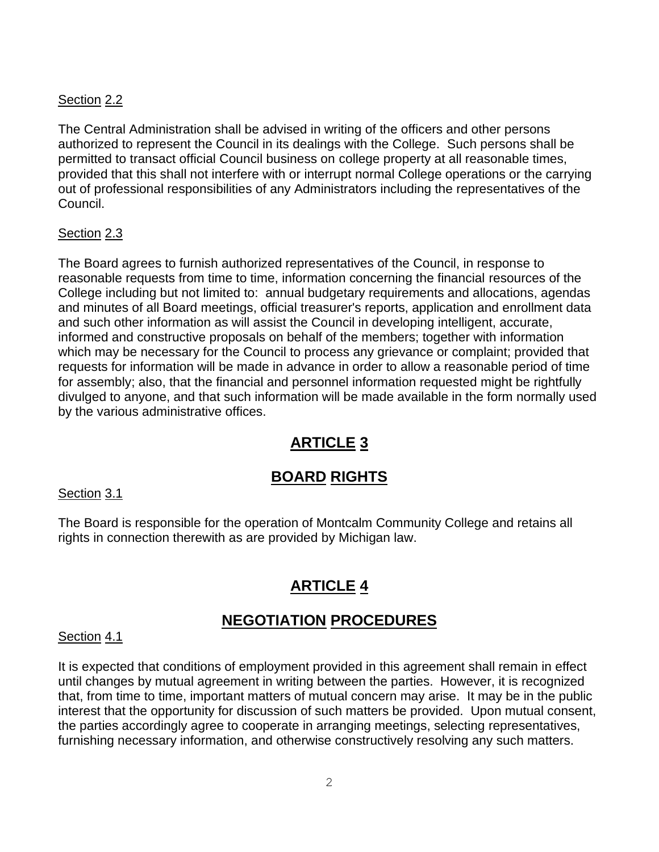### Section 2.2

The Central Administration shall be advised in writing of the officers and other persons authorized to represent the Council in its dealings with the College. Such persons shall be permitted to transact official Council business on college property at all reasonable times, provided that this shall not interfere with or interrupt normal College operations or the carrying out of professional responsibilities of any Administrators including the representatives of the Council.

### Section 2.3

The Board agrees to furnish authorized representatives of the Council, in response to reasonable requests from time to time, information concerning the financial resources of the College including but not limited to: annual budgetary requirements and allocations, agendas and minutes of all Board meetings, official treasurer's reports, application and enrollment data and such other information as will assist the Council in developing intelligent, accurate, informed and constructive proposals on behalf of the members; together with information which may be necessary for the Council to process any grievance or complaint; provided that requests for information will be made in advance in order to allow a reasonable period of time for assembly; also, that the financial and personnel information requested might be rightfully divulged to anyone, and that such information will be made available in the form normally used by the various administrative offices.

# **ARTICLE 3**

### **BOARD RIGHTS**

### Section 3.1

The Board is responsible for the operation of Montcalm Community College and retains all rights in connection therewith as are provided by Michigan law.

### **ARTICLE 4**

### **NEGOTIATION PROCEDURES**

#### Section 4.1

It is expected that conditions of employment provided in this agreement shall remain in effect until changes by mutual agreement in writing between the parties. However, it is recognized that, from time to time, important matters of mutual concern may arise. It may be in the public interest that the opportunity for discussion of such matters be provided. Upon mutual consent, the parties accordingly agree to cooperate in arranging meetings, selecting representatives, furnishing necessary information, and otherwise constructively resolving any such matters.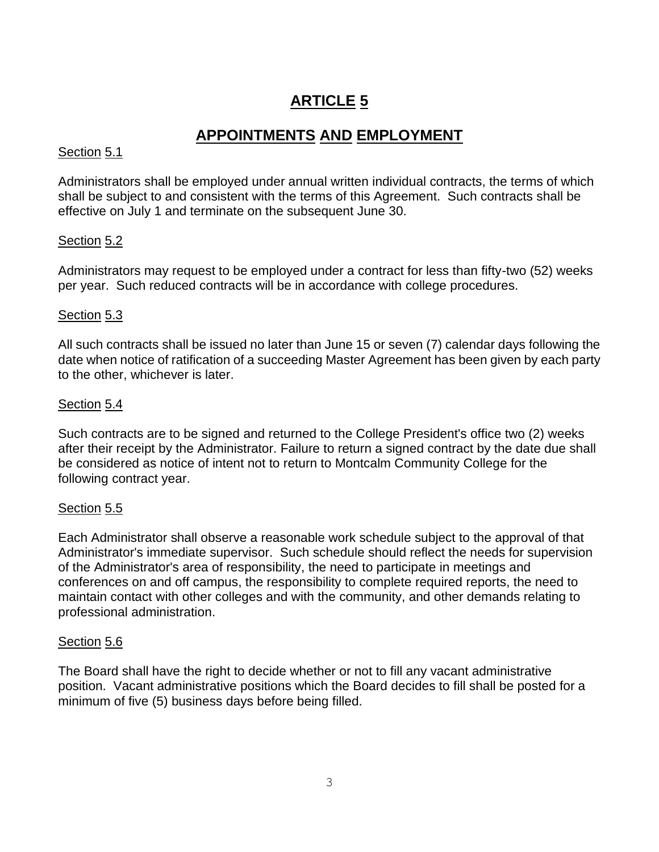### **APPOINTMENTS AND EMPLOYMENT**

### Section 5.1

Administrators shall be employed under annual written individual contracts, the terms of which shall be subject to and consistent with the terms of this Agreement. Such contracts shall be effective on July 1 and terminate on the subsequent June 30.

### Section 5.2

Administrators may request to be employed under a contract for less than fifty-two (52) weeks per year. Such reduced contracts will be in accordance with college procedures.

### Section 5.3

All such contracts shall be issued no later than June 15 or seven (7) calendar days following the date when notice of ratification of a succeeding Master Agreement has been given by each party to the other, whichever is later.

### Section 5.4

Such contracts are to be signed and returned to the College President's office two (2) weeks after their receipt by the Administrator. Failure to return a signed contract by the date due shall be considered as notice of intent not to return to Montcalm Community College for the following contract year.

### Section 5.5

Each Administrator shall observe a reasonable work schedule subject to the approval of that Administrator's immediate supervisor. Such schedule should reflect the needs for supervision of the Administrator's area of responsibility, the need to participate in meetings and conferences on and off campus, the responsibility to complete required reports, the need to maintain contact with other colleges and with the community, and other demands relating to professional administration.

### Section 5.6

The Board shall have the right to decide whether or not to fill any vacant administrative position. Vacant administrative positions which the Board decides to fill shall be posted for a minimum of five (5) business days before being filled.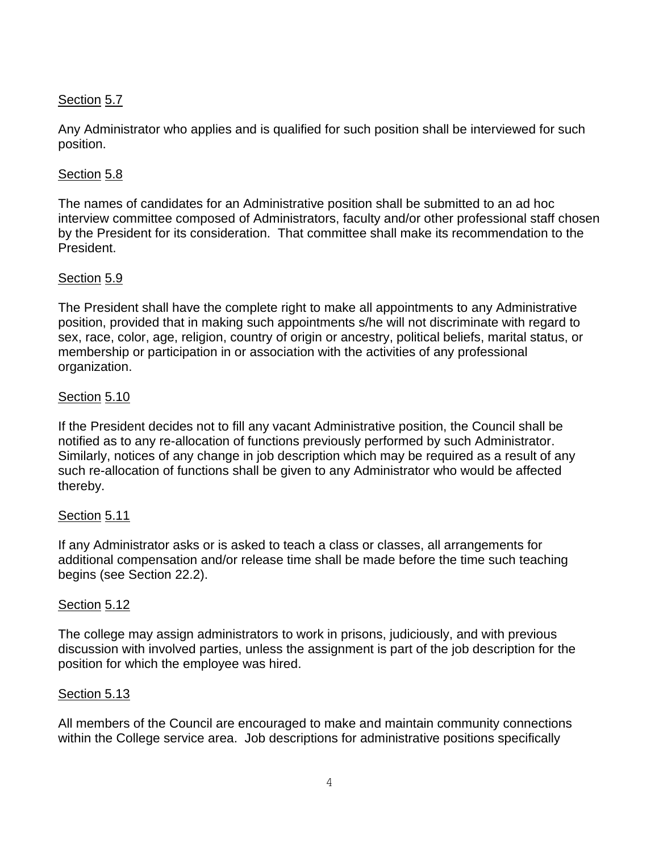### Section 5.7

Any Administrator who applies and is qualified for such position shall be interviewed for such position.

### Section 5.8

The names of candidates for an Administrative position shall be submitted to an ad hoc interview committee composed of Administrators, faculty and/or other professional staff chosen by the President for its consideration. That committee shall make its recommendation to the President.

### Section 5.9

The President shall have the complete right to make all appointments to any Administrative position, provided that in making such appointments s/he will not discriminate with regard to sex, race, color, age, religion, country of origin or ancestry, political beliefs, marital status, or membership or participation in or association with the activities of any professional organization.

### Section 5.10

If the President decides not to fill any vacant Administrative position, the Council shall be notified as to any re-allocation of functions previously performed by such Administrator. Similarly, notices of any change in job description which may be required as a result of any such re-allocation of functions shall be given to any Administrator who would be affected thereby.

### Section 5.11

If any Administrator asks or is asked to teach a class or classes, all arrangements for additional compensation and/or release time shall be made before the time such teaching begins (see Section 22.2).

### Section 5.12

The college may assign administrators to work in prisons, judiciously, and with previous discussion with involved parties, unless the assignment is part of the job description for the position for which the employee was hired.

### Section 5.13

All members of the Council are encouraged to make and maintain community connections within the College service area. Job descriptions for administrative positions specifically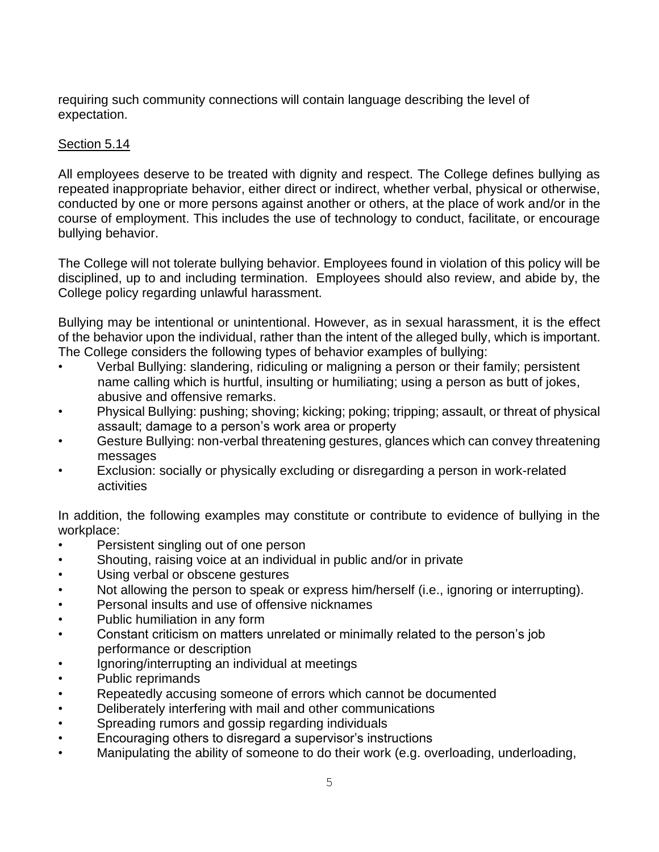requiring such community connections will contain language describing the level of expectation.

### Section 5.14

All employees deserve to be treated with dignity and respect. The College defines bullying as repeated inappropriate behavior, either direct or indirect, whether verbal, physical or otherwise, conducted by one or more persons against another or others, at the place of work and/or in the course of employment. This includes the use of technology to conduct, facilitate, or encourage bullying behavior.

The College will not tolerate bullying behavior. Employees found in violation of this policy will be disciplined, up to and including termination. Employees should also review, and abide by, the College policy regarding unlawful harassment.

Bullying may be intentional or unintentional. However, as in sexual harassment, it is the effect of the behavior upon the individual, rather than the intent of the alleged bully, which is important. The College considers the following types of behavior examples of bullying:

- Verbal Bullying: slandering, ridiculing or maligning a person or their family; persistent name calling which is hurtful, insulting or humiliating; using a person as butt of jokes, abusive and offensive remarks.
- Physical Bullying: pushing; shoving; kicking; poking; tripping; assault, or threat of physical assault; damage to a person's work area or property
- Gesture Bullying: non-verbal threatening gestures, glances which can convey threatening messages
- Exclusion: socially or physically excluding or disregarding a person in work-related activities

In addition, the following examples may constitute or contribute to evidence of bullying in the workplace:

- Persistent singling out of one person
- Shouting, raising voice at an individual in public and/or in private
- Using verbal or obscene gestures
- Not allowing the person to speak or express him/herself (i.e., ignoring or interrupting).
- Personal insults and use of offensive nicknames
- Public humiliation in any form
- Constant criticism on matters unrelated or minimally related to the person's job performance or description
- Ignoring/interrupting an individual at meetings
- Public reprimands
- Repeatedly accusing someone of errors which cannot be documented
- Deliberately interfering with mail and other communications
- Spreading rumors and gossip regarding individuals
- Encouraging others to disregard a supervisor's instructions
- Manipulating the ability of someone to do their work (e.g. overloading, underloading,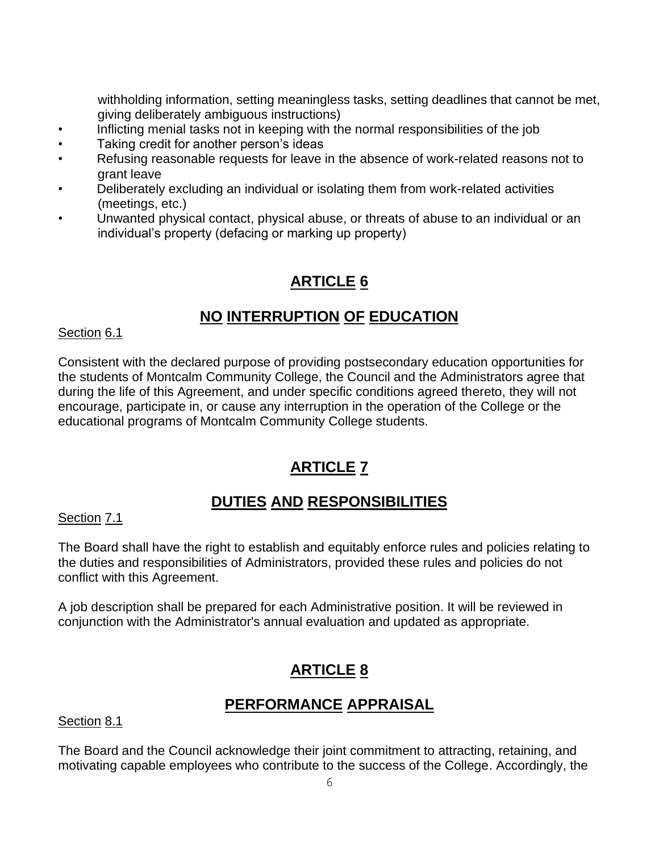withholding information, setting meaningless tasks, setting deadlines that cannot be met, giving deliberately ambiguous instructions)

- Inflicting menial tasks not in keeping with the normal responsibilities of the job
- Taking credit for another person's ideas
- Refusing reasonable requests for leave in the absence of work-related reasons not to grant leave
- Deliberately excluding an individual or isolating them from work-related activities (meetings, etc.)
- Unwanted physical contact, physical abuse, or threats of abuse to an individual or an individual's property (defacing or marking up property)

# **ARTICLE 6**

### **NO INTERRUPTION OF EDUCATION**

### Section 6.1

Consistent with the declared purpose of providing postsecondary education opportunities for the students of Montcalm Community College, the Council and the Administrators agree that during the life of this Agreement, and under specific conditions agreed thereto, they will not encourage, participate in, or cause any interruption in the operation of the College or the educational programs of Montcalm Community College students.

# **ARTICLE 7**

### **DUTIES AND RESPONSIBILITIES**

Section 7.1

The Board shall have the right to establish and equitably enforce rules and policies relating to the duties and responsibilities of Administrators, provided these rules and policies do not conflict with this Agreement.

A job description shall be prepared for each Administrative position. It will be reviewed in conjunction with the Administrator's annual evaluation and updated as appropriate.

# **ARTICLE 8**

### **PERFORMANCE APPRAISAL**

Section 8.1

The Board and the Council acknowledge their joint commitment to attracting, retaining, and motivating capable employees who contribute to the success of the College. Accordingly, the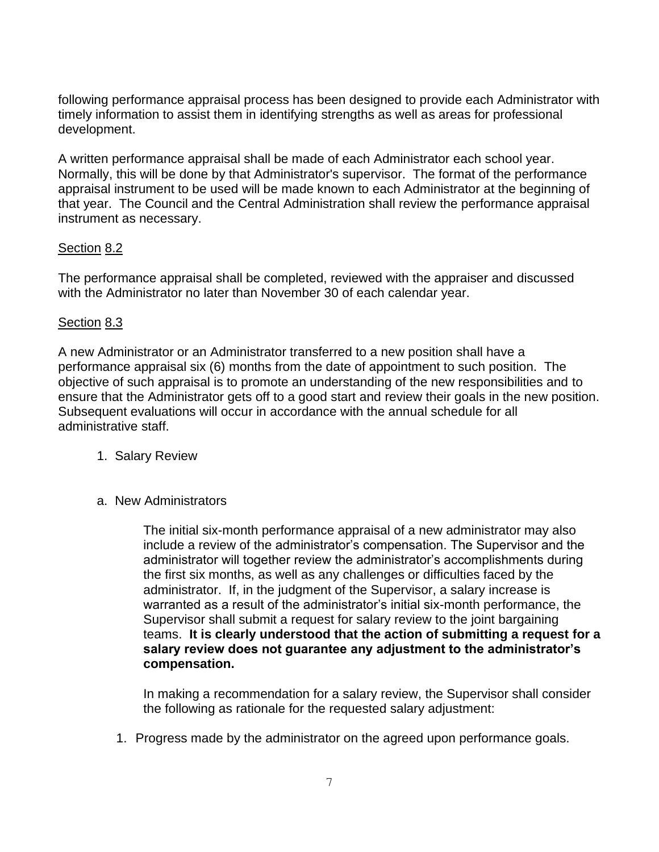following performance appraisal process has been designed to provide each Administrator with timely information to assist them in identifying strengths as well as areas for professional development.

A written performance appraisal shall be made of each Administrator each school year. Normally, this will be done by that Administrator's supervisor. The format of the performance appraisal instrument to be used will be made known to each Administrator at the beginning of that year. The Council and the Central Administration shall review the performance appraisal instrument as necessary.

### Section 8.2

The performance appraisal shall be completed, reviewed with the appraiser and discussed with the Administrator no later than November 30 of each calendar year.

### Section 8.3

A new Administrator or an Administrator transferred to a new position shall have a performance appraisal six (6) months from the date of appointment to such position. The objective of such appraisal is to promote an understanding of the new responsibilities and to ensure that the Administrator gets off to a good start and review their goals in the new position. Subsequent evaluations will occur in accordance with the annual schedule for all administrative staff.

- 1. Salary Review
- a. New Administrators

The initial six-month performance appraisal of a new administrator may also include a review of the administrator's compensation. The Supervisor and the administrator will together review the administrator's accomplishments during the first six months, as well as any challenges or difficulties faced by the administrator. If, in the judgment of the Supervisor, a salary increase is warranted as a result of the administrator's initial six-month performance, the Supervisor shall submit a request for salary review to the joint bargaining teams. **It is clearly understood that the action of submitting a request for a salary review does not guarantee any adjustment to the administrator's compensation.**

In making a recommendation for a salary review, the Supervisor shall consider the following as rationale for the requested salary adjustment:

1. Progress made by the administrator on the agreed upon performance goals.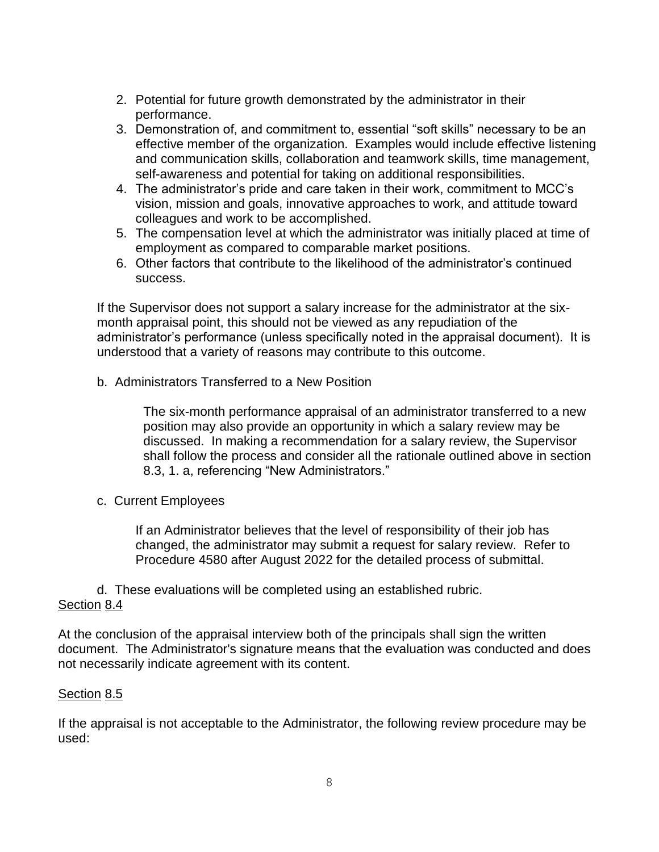- 2. Potential for future growth demonstrated by the administrator in their performance.
- 3. Demonstration of, and commitment to, essential "soft skills" necessary to be an effective member of the organization. Examples would include effective listening and communication skills, collaboration and teamwork skills, time management, self-awareness and potential for taking on additional responsibilities.
- 4. The administrator's pride and care taken in their work, commitment to MCC's vision, mission and goals, innovative approaches to work, and attitude toward colleagues and work to be accomplished.
- 5. The compensation level at which the administrator was initially placed at time of employment as compared to comparable market positions.
- 6. Other factors that contribute to the likelihood of the administrator's continued success.

If the Supervisor does not support a salary increase for the administrator at the sixmonth appraisal point, this should not be viewed as any repudiation of the administrator's performance (unless specifically noted in the appraisal document). It is understood that a variety of reasons may contribute to this outcome.

b. Administrators Transferred to a New Position

The six-month performance appraisal of an administrator transferred to a new position may also provide an opportunity in which a salary review may be discussed. In making a recommendation for a salary review, the Supervisor shall follow the process and consider all the rationale outlined above in section 8.3, 1. a, referencing "New Administrators."

c. Current Employees

If an Administrator believes that the level of responsibility of their job has changed, the administrator may submit a request for salary review. Refer to Procedure 4580 after August 2022 for the detailed process of submittal.

d. These evaluations will be completed using an established rubric. Section 8.4

At the conclusion of the appraisal interview both of the principals shall sign the written document. The Administrator's signature means that the evaluation was conducted and does not necessarily indicate agreement with its content.

### Section 8.5

If the appraisal is not acceptable to the Administrator, the following review procedure may be used: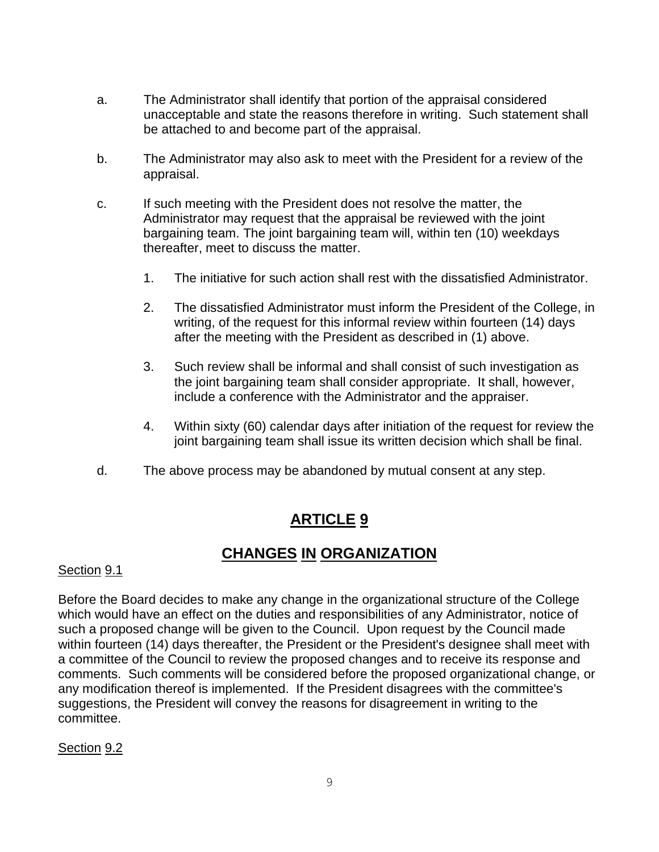- a. The Administrator shall identify that portion of the appraisal considered unacceptable and state the reasons therefore in writing. Such statement shall be attached to and become part of the appraisal.
- b. The Administrator may also ask to meet with the President for a review of the appraisal.
- c. If such meeting with the President does not resolve the matter, the Administrator may request that the appraisal be reviewed with the joint bargaining team. The joint bargaining team will, within ten (10) weekdays thereafter, meet to discuss the matter.
	- 1. The initiative for such action shall rest with the dissatisfied Administrator.
	- 2. The dissatisfied Administrator must inform the President of the College, in writing, of the request for this informal review within fourteen (14) days after the meeting with the President as described in (1) above.
	- 3. Such review shall be informal and shall consist of such investigation as the joint bargaining team shall consider appropriate. It shall, however, include a conference with the Administrator and the appraiser.
	- 4. Within sixty (60) calendar days after initiation of the request for review the joint bargaining team shall issue its written decision which shall be final.
- d. The above process may be abandoned by mutual consent at any step.

### **CHANGES IN ORGANIZATION**

### Section 9.1

Before the Board decides to make any change in the organizational structure of the College which would have an effect on the duties and responsibilities of any Administrator, notice of such a proposed change will be given to the Council. Upon request by the Council made within fourteen (14) days thereafter, the President or the President's designee shall meet with a committee of the Council to review the proposed changes and to receive its response and comments. Such comments will be considered before the proposed organizational change, or any modification thereof is implemented. If the President disagrees with the committee's suggestions, the President will convey the reasons for disagreement in writing to the committee.

### Section 9.2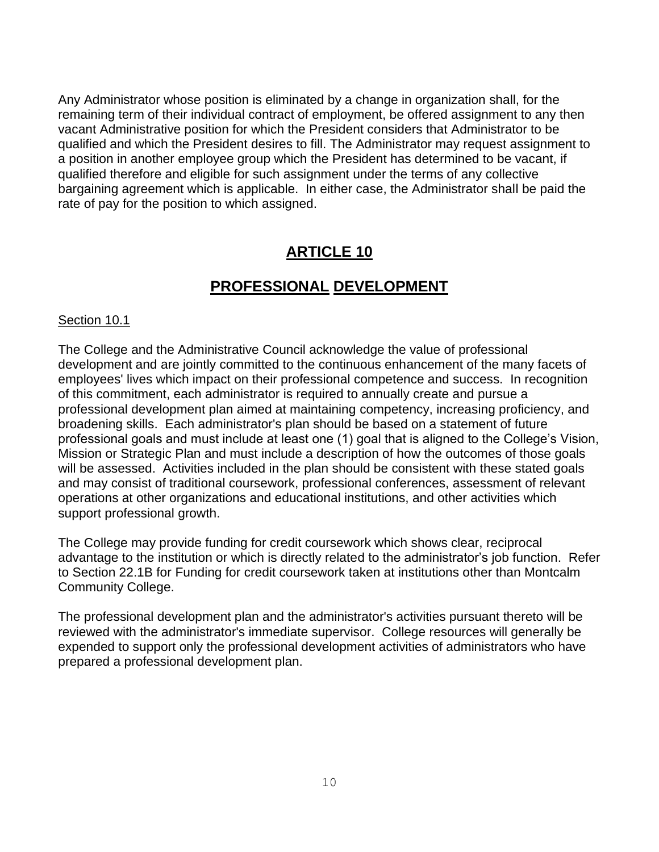Any Administrator whose position is eliminated by a change in organization shall, for the remaining term of their individual contract of employment, be offered assignment to any then vacant Administrative position for which the President considers that Administrator to be qualified and which the President desires to fill. The Administrator may request assignment to a position in another employee group which the President has determined to be vacant, if qualified therefore and eligible for such assignment under the terms of any collective bargaining agreement which is applicable. In either case, the Administrator shall be paid the rate of pay for the position to which assigned.

### **ARTICLE 10**

### **PROFESSIONAL DEVELOPMENT**

#### Section 10.1

The College and the Administrative Council acknowledge the value of professional development and are jointly committed to the continuous enhancement of the many facets of employees' lives which impact on their professional competence and success. In recognition of this commitment, each administrator is required to annually create and pursue a professional development plan aimed at maintaining competency, increasing proficiency, and broadening skills. Each administrator's plan should be based on a statement of future professional goals and must include at least one (1) goal that is aligned to the College's Vision, Mission or Strategic Plan and must include a description of how the outcomes of those goals will be assessed. Activities included in the plan should be consistent with these stated goals and may consist of traditional coursework, professional conferences, assessment of relevant operations at other organizations and educational institutions, and other activities which support professional growth.

The College may provide funding for credit coursework which shows clear, reciprocal advantage to the institution or which is directly related to the administrator's job function. Refer to Section 22.1B for Funding for credit coursework taken at institutions other than Montcalm Community College.

The professional development plan and the administrator's activities pursuant thereto will be reviewed with the administrator's immediate supervisor. College resources will generally be expended to support only the professional development activities of administrators who have prepared a professional development plan.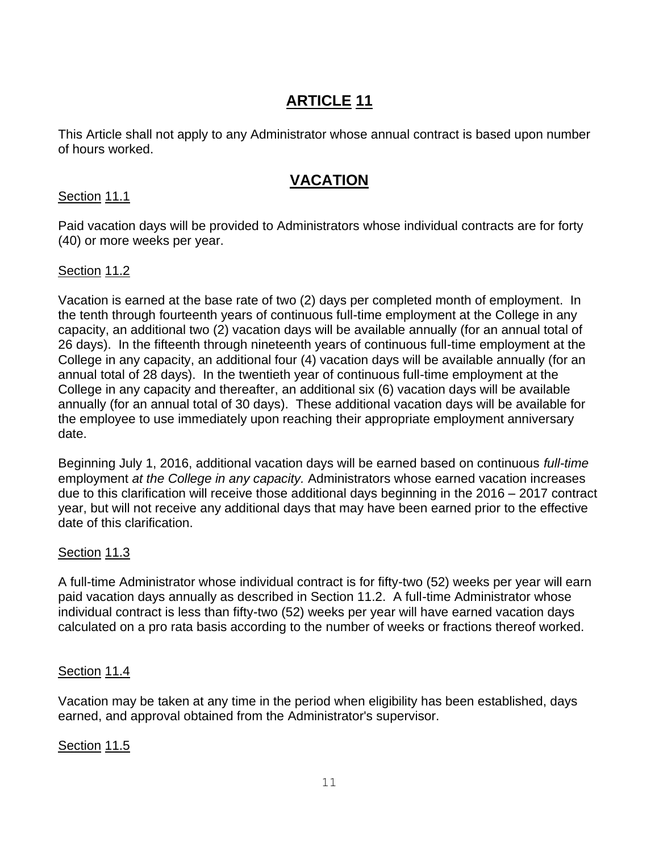This Article shall not apply to any Administrator whose annual contract is based upon number of hours worked.

### **VACATION**

### Section 11.1

Paid vacation days will be provided to Administrators whose individual contracts are for forty (40) or more weeks per year.

### Section 11.2

Vacation is earned at the base rate of two (2) days per completed month of employment. In the tenth through fourteenth years of continuous full-time employment at the College in any capacity, an additional two (2) vacation days will be available annually (for an annual total of 26 days). In the fifteenth through nineteenth years of continuous full-time employment at the College in any capacity, an additional four (4) vacation days will be available annually (for an annual total of 28 days). In the twentieth year of continuous full-time employment at the College in any capacity and thereafter, an additional six (6) vacation days will be available annually (for an annual total of 30 days). These additional vacation days will be available for the employee to use immediately upon reaching their appropriate employment anniversary date.

Beginning July 1, 2016, additional vacation days will be earned based on continuous *full-time* employment *at the College in any capacity.* Administrators whose earned vacation increases due to this clarification will receive those additional days beginning in the 2016 – 2017 contract year, but will not receive any additional days that may have been earned prior to the effective date of this clarification.

### Section 11.3

A full-time Administrator whose individual contract is for fifty-two (52) weeks per year will earn paid vacation days annually as described in Section 11.2. A full-time Administrator whose individual contract is less than fifty-two (52) weeks per year will have earned vacation days calculated on a pro rata basis according to the number of weeks or fractions thereof worked.

### Section 11.4

Vacation may be taken at any time in the period when eligibility has been established, days earned, and approval obtained from the Administrator's supervisor.

### Section 11.5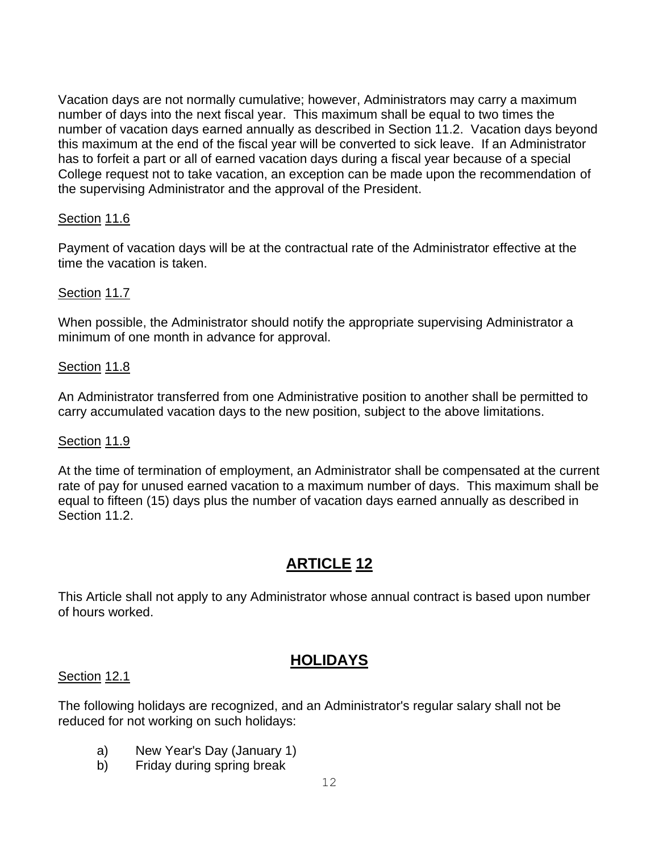Vacation days are not normally cumulative; however, Administrators may carry a maximum number of days into the next fiscal year. This maximum shall be equal to two times the number of vacation days earned annually as described in Section 11.2. Vacation days beyond this maximum at the end of the fiscal year will be converted to sick leave. If an Administrator has to forfeit a part or all of earned vacation days during a fiscal year because of a special College request not to take vacation, an exception can be made upon the recommendation of the supervising Administrator and the approval of the President.

### Section 11.6

Payment of vacation days will be at the contractual rate of the Administrator effective at the time the vacation is taken.

### Section 11.7

When possible, the Administrator should notify the appropriate supervising Administrator a minimum of one month in advance for approval.

### Section 11.8

An Administrator transferred from one Administrative position to another shall be permitted to carry accumulated vacation days to the new position, subject to the above limitations.

### Section 11.9

At the time of termination of employment, an Administrator shall be compensated at the current rate of pay for unused earned vacation to a maximum number of days. This maximum shall be equal to fifteen (15) days plus the number of vacation days earned annually as described in Section 11.2.

### **ARTICLE 12**

This Article shall not apply to any Administrator whose annual contract is based upon number of hours worked.

### **HOLIDAYS**

### Section 12.1

The following holidays are recognized, and an Administrator's regular salary shall not be reduced for not working on such holidays:

- a) New Year's Day (January 1)
- b) Friday during spring break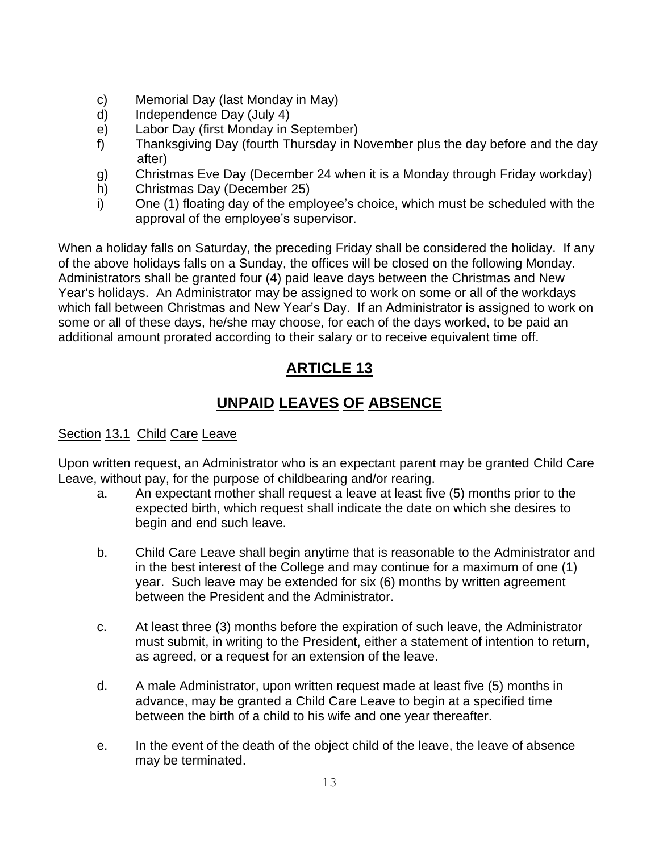- c) Memorial Day (last Monday in May)
- d) Independence Day (July 4)
- e) Labor Day (first Monday in September)
- f) Thanksgiving Day (fourth Thursday in November plus the day before and the day after)
- g) Christmas Eve Day (December 24 when it is a Monday through Friday workday)
- h) Christmas Day (December 25)
- i) One (1) floating day of the employee's choice, which must be scheduled with the approval of the employee's supervisor.

When a holiday falls on Saturday, the preceding Friday shall be considered the holiday. If any of the above holidays falls on a Sunday, the offices will be closed on the following Monday. Administrators shall be granted four (4) paid leave days between the Christmas and New Year's holidays. An Administrator may be assigned to work on some or all of the workdays which fall between Christmas and New Year's Day. If an Administrator is assigned to work on some or all of these days, he/she may choose, for each of the days worked, to be paid an additional amount prorated according to their salary or to receive equivalent time off.

### **ARTICLE 13**

# **UNPAID LEAVES OF ABSENCE**

### Section 13.1 Child Care Leave

Upon written request, an Administrator who is an expectant parent may be granted Child Care Leave, without pay, for the purpose of childbearing and/or rearing.

- a. An expectant mother shall request a leave at least five (5) months prior to the expected birth, which request shall indicate the date on which she desires to begin and end such leave.
- b. Child Care Leave shall begin anytime that is reasonable to the Administrator and in the best interest of the College and may continue for a maximum of one (1) year. Such leave may be extended for six (6) months by written agreement between the President and the Administrator.
- c. At least three (3) months before the expiration of such leave, the Administrator must submit, in writing to the President, either a statement of intention to return, as agreed, or a request for an extension of the leave.
- d. A male Administrator, upon written request made at least five (5) months in advance, may be granted a Child Care Leave to begin at a specified time between the birth of a child to his wife and one year thereafter.
- e. In the event of the death of the object child of the leave, the leave of absence may be terminated.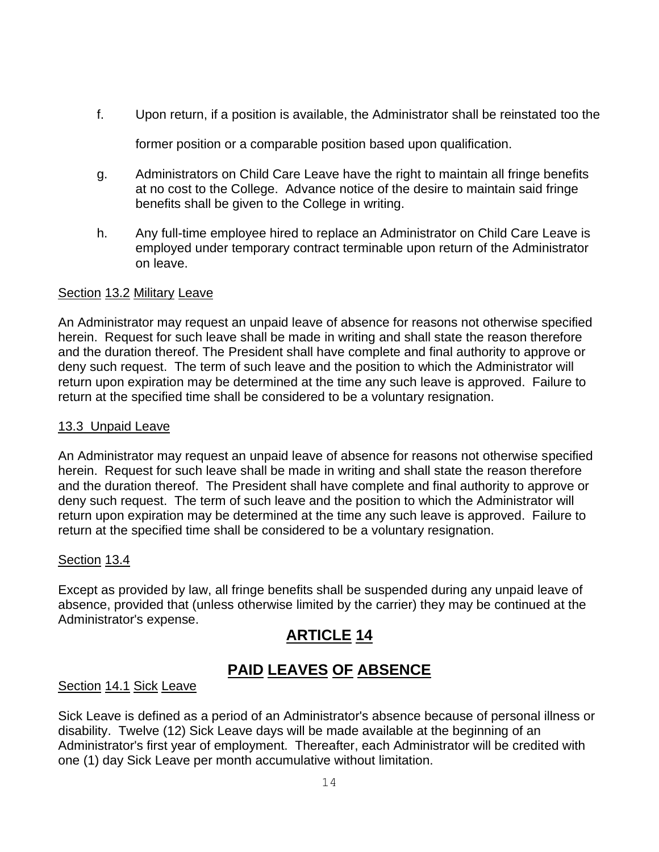f. Upon return, if a position is available, the Administrator shall be reinstated too the

former position or a comparable position based upon qualification.

- g. Administrators on Child Care Leave have the right to maintain all fringe benefits at no cost to the College. Advance notice of the desire to maintain said fringe benefits shall be given to the College in writing.
- h. Any full-time employee hired to replace an Administrator on Child Care Leave is employed under temporary contract terminable upon return of the Administrator on leave.

### Section 13.2 Military Leave

An Administrator may request an unpaid leave of absence for reasons not otherwise specified herein. Request for such leave shall be made in writing and shall state the reason therefore and the duration thereof. The President shall have complete and final authority to approve or deny such request. The term of such leave and the position to which the Administrator will return upon expiration may be determined at the time any such leave is approved. Failure to return at the specified time shall be considered to be a voluntary resignation.

#### 13.3 Unpaid Leave

An Administrator may request an unpaid leave of absence for reasons not otherwise specified herein. Request for such leave shall be made in writing and shall state the reason therefore and the duration thereof. The President shall have complete and final authority to approve or deny such request. The term of such leave and the position to which the Administrator will return upon expiration may be determined at the time any such leave is approved. Failure to return at the specified time shall be considered to be a voluntary resignation.

### Section 13.4

Except as provided by law, all fringe benefits shall be suspended during any unpaid leave of absence, provided that (unless otherwise limited by the carrier) they may be continued at the Administrator's expense.

### **ARTICLE 14**

### **PAID LEAVES OF ABSENCE**

#### Section 14.1 Sick Leave

Sick Leave is defined as a period of an Administrator's absence because of personal illness or disability. Twelve (12) Sick Leave days will be made available at the beginning of an Administrator's first year of employment. Thereafter, each Administrator will be credited with one (1) day Sick Leave per month accumulative without limitation.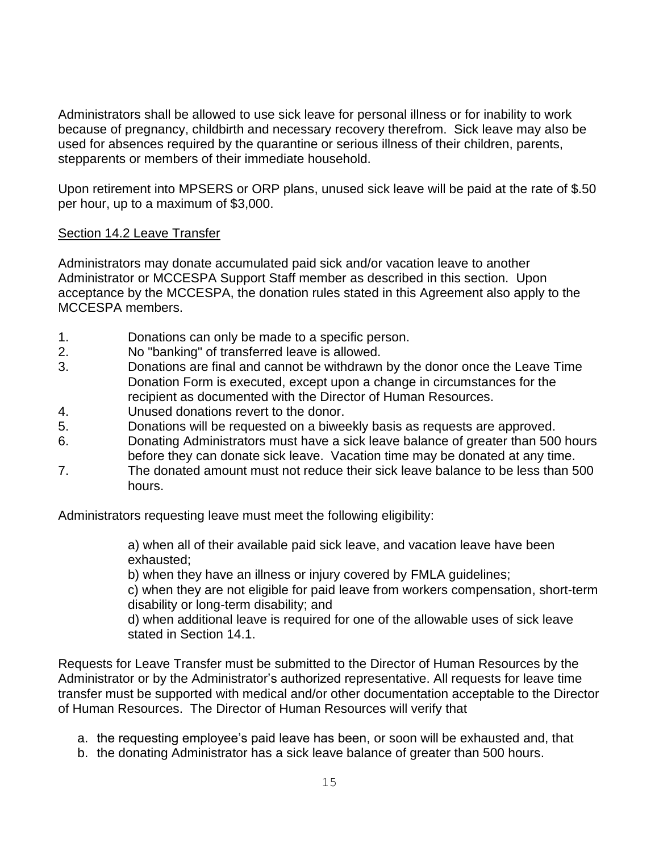Administrators shall be allowed to use sick leave for personal illness or for inability to work because of pregnancy, childbirth and necessary recovery therefrom. Sick leave may also be used for absences required by the quarantine or serious illness of their children, parents, stepparents or members of their immediate household.

Upon retirement into MPSERS or ORP plans, unused sick leave will be paid at the rate of \$.50 per hour, up to a maximum of \$3,000.

### Section 14.2 Leave Transfer

Administrators may donate accumulated paid sick and/or vacation leave to another Administrator or MCCESPA Support Staff member as described in this section. Upon acceptance by the MCCESPA, the donation rules stated in this Agreement also apply to the MCCESPA members.

- 1. Donations can only be made to a specific person.
- 2. No "banking" of transferred leave is allowed.
- 3. Donations are final and cannot be withdrawn by the donor once the Leave Time Donation Form is executed, except upon a change in circumstances for the recipient as documented with the Director of Human Resources.
- 4. Unused donations revert to the donor.
- 5. Donations will be requested on a biweekly basis as requests are approved.
- 6. Donating Administrators must have a sick leave balance of greater than 500 hours before they can donate sick leave. Vacation time may be donated at any time.
- 7. The donated amount must not reduce their sick leave balance to be less than 500 hours.

Administrators requesting leave must meet the following eligibility:

a) when all of their available paid sick leave, and vacation leave have been exhausted;

b) when they have an illness or injury covered by FMLA guidelines;

c) when they are not eligible for paid leave from workers compensation, short-term disability or long-term disability; and

d) when additional leave is required for one of the allowable uses of sick leave stated in Section 14.1.

Requests for Leave Transfer must be submitted to the Director of Human Resources by the Administrator or by the Administrator's authorized representative. All requests for leave time transfer must be supported with medical and/or other documentation acceptable to the Director of Human Resources. The Director of Human Resources will verify that

- a. the requesting employee's paid leave has been, or soon will be exhausted and, that
- b. the donating Administrator has a sick leave balance of greater than 500 hours.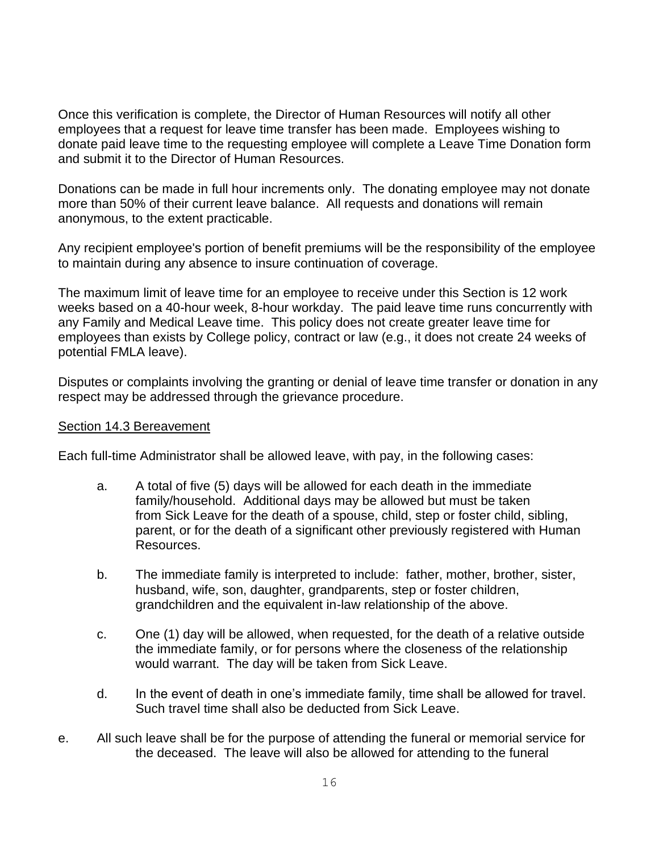Once this verification is complete, the Director of Human Resources will notify all other employees that a request for leave time transfer has been made. Employees wishing to donate paid leave time to the requesting employee will complete a Leave Time Donation form and submit it to the Director of Human Resources.

Donations can be made in full hour increments only. The donating employee may not donate more than 50% of their current leave balance. All requests and donations will remain anonymous, to the extent practicable.

Any recipient employee's portion of benefit premiums will be the responsibility of the employee to maintain during any absence to insure continuation of coverage.

The maximum limit of leave time for an employee to receive under this Section is 12 work weeks based on a 40-hour week, 8-hour workday. The paid leave time runs concurrently with any Family and Medical Leave time. This policy does not create greater leave time for employees than exists by College policy, contract or law (e.g., it does not create 24 weeks of potential FMLA leave).

Disputes or complaints involving the granting or denial of leave time transfer or donation in any respect may be addressed through the grievance procedure.

#### Section 14.3 Bereavement

Each full-time Administrator shall be allowed leave, with pay, in the following cases:

- a. A total of five (5) days will be allowed for each death in the immediate family/household. Additional days may be allowed but must be taken from Sick Leave for the death of a spouse, child, step or foster child, sibling, parent, or for the death of a significant other previously registered with Human Resources.
- b. The immediate family is interpreted to include: father, mother, brother, sister, husband, wife, son, daughter, grandparents, step or foster children, grandchildren and the equivalent in-law relationship of the above.
- c. One (1) day will be allowed, when requested, for the death of a relative outside the immediate family, or for persons where the closeness of the relationship would warrant. The day will be taken from Sick Leave.
- d. In the event of death in one's immediate family, time shall be allowed for travel. Such travel time shall also be deducted from Sick Leave.
- e. All such leave shall be for the purpose of attending the funeral or memorial service for the deceased. The leave will also be allowed for attending to the funeral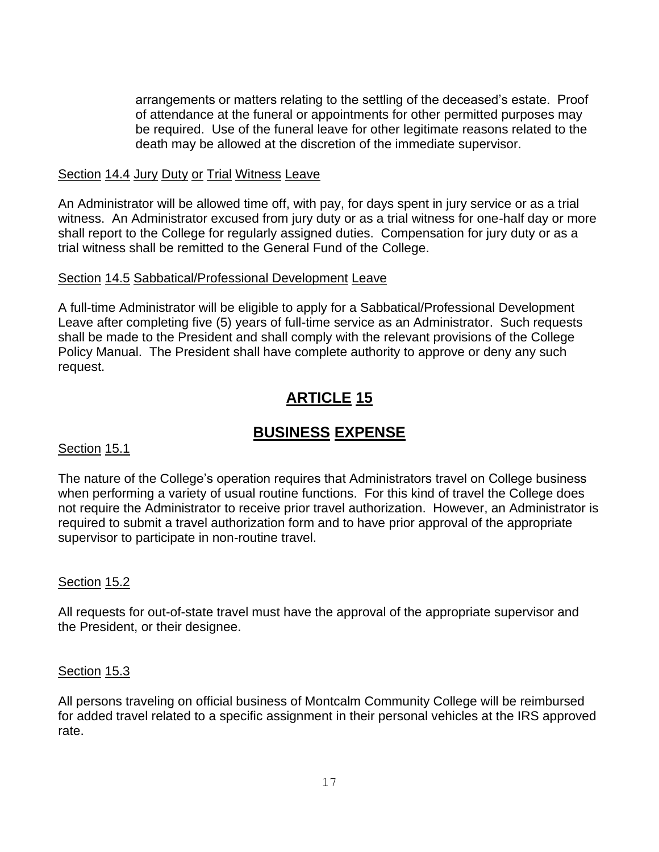arrangements or matters relating to the settling of the deceased's estate. Proof of attendance at the funeral or appointments for other permitted purposes may be required. Use of the funeral leave for other legitimate reasons related to the death may be allowed at the discretion of the immediate supervisor.

### Section 14.4 Jury Duty or Trial Witness Leave

An Administrator will be allowed time off, with pay, for days spent in jury service or as a trial witness. An Administrator excused from jury duty or as a trial witness for one-half day or more shall report to the College for regularly assigned duties. Compensation for jury duty or as a trial witness shall be remitted to the General Fund of the College.

#### Section 14.5 Sabbatical/Professional Development Leave

A full-time Administrator will be eligible to apply for a Sabbatical/Professional Development Leave after completing five (5) years of full-time service as an Administrator. Such requests shall be made to the President and shall comply with the relevant provisions of the College Policy Manual. The President shall have complete authority to approve or deny any such request.

### **ARTICLE 15**

### **BUSINESS EXPENSE**

### Section 15.1

The nature of the College's operation requires that Administrators travel on College business when performing a variety of usual routine functions. For this kind of travel the College does not require the Administrator to receive prior travel authorization. However, an Administrator is required to submit a travel authorization form and to have prior approval of the appropriate supervisor to participate in non-routine travel.

### Section 15.2

All requests for out-of-state travel must have the approval of the appropriate supervisor and the President, or their designee.

### Section 15.3

All persons traveling on official business of Montcalm Community College will be reimbursed for added travel related to a specific assignment in their personal vehicles at the IRS approved rate.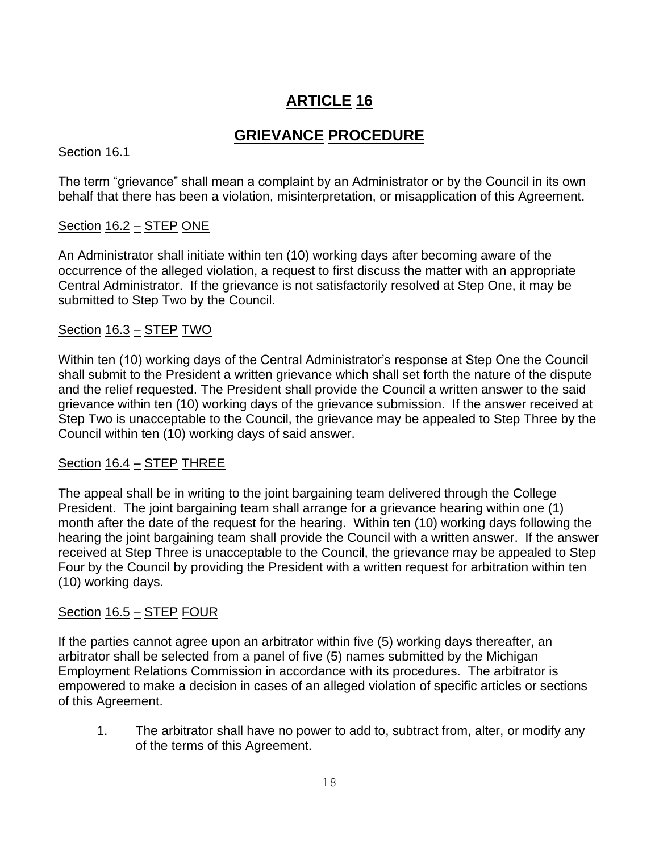### **GRIEVANCE PROCEDURE**

### Section 16.1

The term "grievance" shall mean a complaint by an Administrator or by the Council in its own behalf that there has been a violation, misinterpretation, or misapplication of this Agreement.

### Section 16.2 – STEP ONE

An Administrator shall initiate within ten (10) working days after becoming aware of the occurrence of the alleged violation, a request to first discuss the matter with an appropriate Central Administrator. If the grievance is not satisfactorily resolved at Step One, it may be submitted to Step Two by the Council.

### $Section 16.3 - STEP TWO$

Within ten (10) working days of the Central Administrator's response at Step One the Council shall submit to the President a written grievance which shall set forth the nature of the dispute and the relief requested. The President shall provide the Council a written answer to the said grievance within ten (10) working days of the grievance submission. If the answer received at Step Two is unacceptable to the Council, the grievance may be appealed to Step Three by the Council within ten (10) working days of said answer.

### Section 16.4 – STEP THREE

The appeal shall be in writing to the joint bargaining team delivered through the College President. The joint bargaining team shall arrange for a grievance hearing within one (1) month after the date of the request for the hearing. Within ten (10) working days following the hearing the joint bargaining team shall provide the Council with a written answer. If the answer received at Step Three is unacceptable to the Council, the grievance may be appealed to Step Four by the Council by providing the President with a written request for arbitration within ten (10) working days.

### Section 16.5 – STEP FOUR

If the parties cannot agree upon an arbitrator within five (5) working days thereafter, an arbitrator shall be selected from a panel of five (5) names submitted by the Michigan Employment Relations Commission in accordance with its procedures. The arbitrator is empowered to make a decision in cases of an alleged violation of specific articles or sections of this Agreement.

1. The arbitrator shall have no power to add to, subtract from, alter, or modify any of the terms of this Agreement.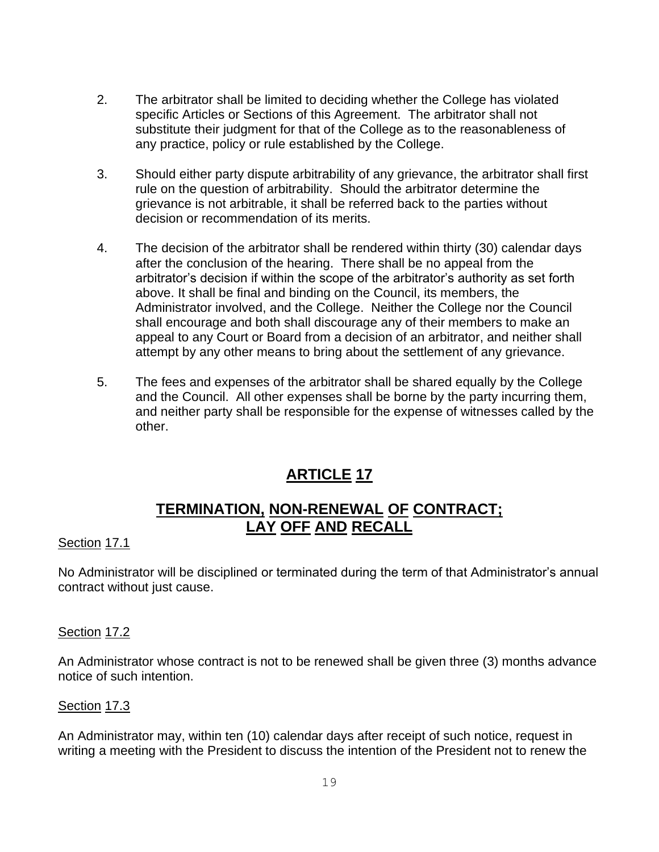- 2. The arbitrator shall be limited to deciding whether the College has violated specific Articles or Sections of this Agreement. The arbitrator shall not substitute their judgment for that of the College as to the reasonableness of any practice, policy or rule established by the College.
- 3. Should either party dispute arbitrability of any grievance, the arbitrator shall first rule on the question of arbitrability. Should the arbitrator determine the grievance is not arbitrable, it shall be referred back to the parties without decision or recommendation of its merits.
- 4. The decision of the arbitrator shall be rendered within thirty (30) calendar days after the conclusion of the hearing. There shall be no appeal from the arbitrator's decision if within the scope of the arbitrator's authority as set forth above. It shall be final and binding on the Council, its members, the Administrator involved, and the College. Neither the College nor the Council shall encourage and both shall discourage any of their members to make an appeal to any Court or Board from a decision of an arbitrator, and neither shall attempt by any other means to bring about the settlement of any grievance.
- 5. The fees and expenses of the arbitrator shall be shared equally by the College and the Council. All other expenses shall be borne by the party incurring them, and neither party shall be responsible for the expense of witnesses called by the other.

### **TERMINATION, NON-RENEWAL OF CONTRACT; LAY OFF AND RECALL**

### Section 17.1

No Administrator will be disciplined or terminated during the term of that Administrator's annual contract without just cause.

### Section 17.2

An Administrator whose contract is not to be renewed shall be given three (3) months advance notice of such intention.

### Section 17.3

An Administrator may, within ten (10) calendar days after receipt of such notice, request in writing a meeting with the President to discuss the intention of the President not to renew the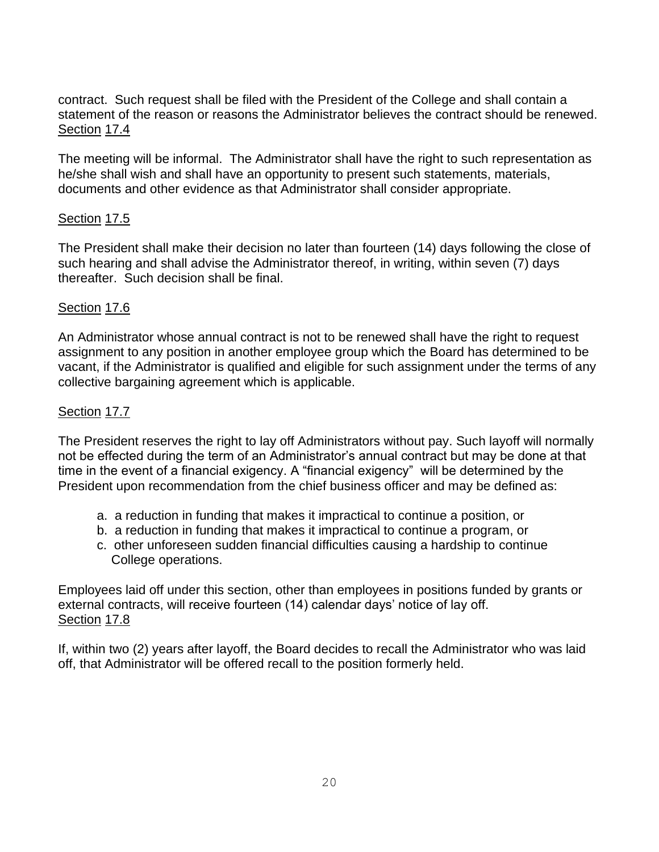contract. Such request shall be filed with the President of the College and shall contain a statement of the reason or reasons the Administrator believes the contract should be renewed. Section 17.4

The meeting will be informal. The Administrator shall have the right to such representation as he/she shall wish and shall have an opportunity to present such statements, materials, documents and other evidence as that Administrator shall consider appropriate.

### Section 17.5

The President shall make their decision no later than fourteen (14) days following the close of such hearing and shall advise the Administrator thereof, in writing, within seven (7) days thereafter. Such decision shall be final.

### Section 17.6

An Administrator whose annual contract is not to be renewed shall have the right to request assignment to any position in another employee group which the Board has determined to be vacant, if the Administrator is qualified and eligible for such assignment under the terms of any collective bargaining agreement which is applicable.

### Section 17.7

The President reserves the right to lay off Administrators without pay. Such layoff will normally not be effected during the term of an Administrator's annual contract but may be done at that time in the event of a financial exigency. A "financial exigency" will be determined by the President upon recommendation from the chief business officer and may be defined as:

- a. a reduction in funding that makes it impractical to continue a position, or
- b. a reduction in funding that makes it impractical to continue a program, or
- c. other unforeseen sudden financial difficulties causing a hardship to continue College operations.

Employees laid off under this section, other than employees in positions funded by grants or external contracts, will receive fourteen (14) calendar days' notice of lay off. Section 17.8

If, within two (2) years after layoff, the Board decides to recall the Administrator who was laid off, that Administrator will be offered recall to the position formerly held.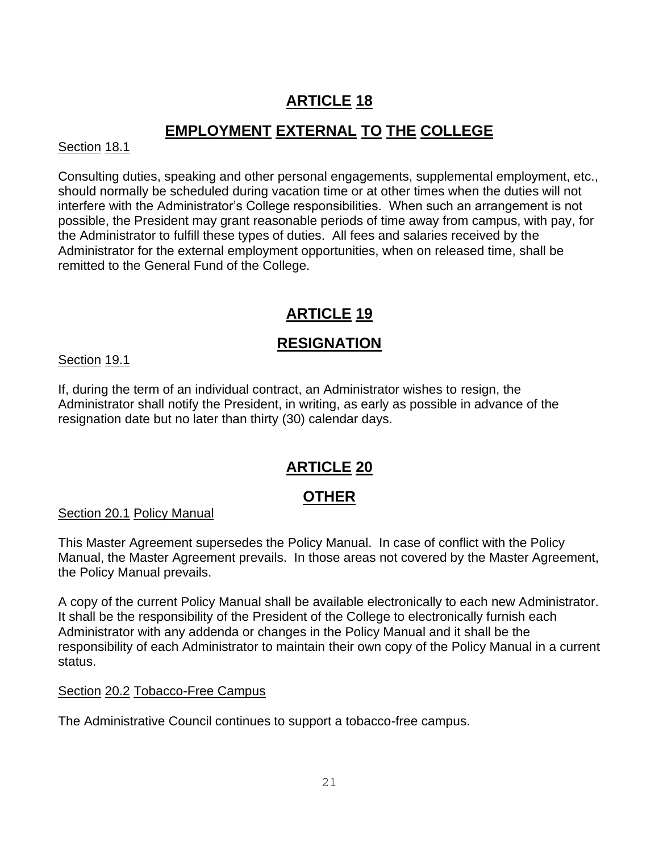### **EMPLOYMENT EXTERNAL TO THE COLLEGE**

### Section 18.1

Consulting duties, speaking and other personal engagements, supplemental employment, etc., should normally be scheduled during vacation time or at other times when the duties will not interfere with the Administrator's College responsibilities. When such an arrangement is not possible, the President may grant reasonable periods of time away from campus, with pay, for the Administrator to fulfill these types of duties. All fees and salaries received by the Administrator for the external employment opportunities, when on released time, shall be remitted to the General Fund of the College.

# **ARTICLE 19**

# **RESIGNATION**

Section 19.1

If, during the term of an individual contract, an Administrator wishes to resign, the Administrator shall notify the President, in writing, as early as possible in advance of the resignation date but no later than thirty (30) calendar days.

### **ARTICLE 20**

### **OTHER**

Section 20.1 Policy Manual

This Master Agreement supersedes the Policy Manual. In case of conflict with the Policy Manual, the Master Agreement prevails. In those areas not covered by the Master Agreement, the Policy Manual prevails.

A copy of the current Policy Manual shall be available electronically to each new Administrator. It shall be the responsibility of the President of the College to electronically furnish each Administrator with any addenda or changes in the Policy Manual and it shall be the responsibility of each Administrator to maintain their own copy of the Policy Manual in a current status.

### Section 20.2 Tobacco-Free Campus

The Administrative Council continues to support a tobacco-free campus.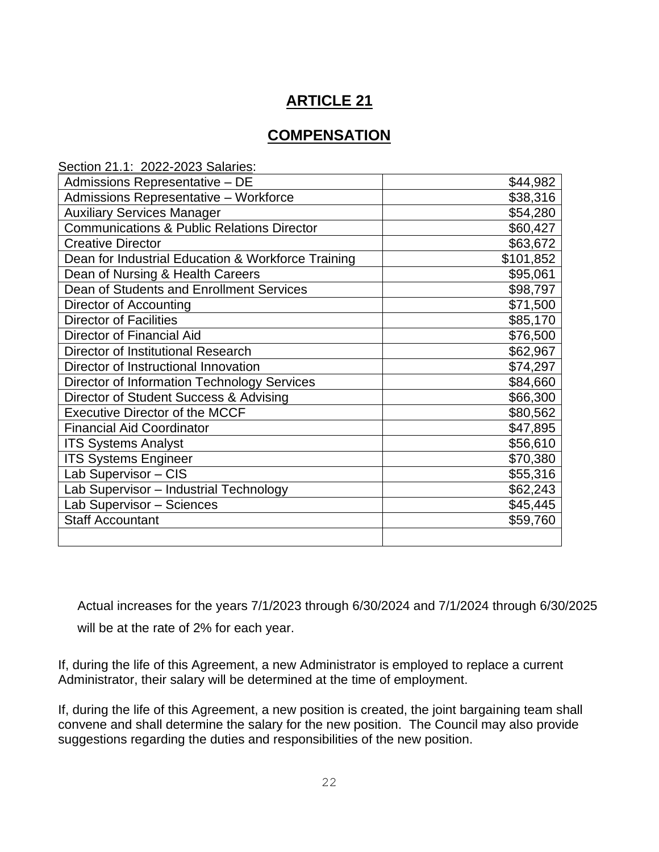### **COMPENSATION**

| Section 21.1: 2022-2023 Salaries:                     |           |
|-------------------------------------------------------|-----------|
| Admissions Representative - DE                        | \$44,982  |
| Admissions Representative - Workforce                 | \$38,316  |
| <b>Auxiliary Services Manager</b>                     | \$54,280  |
| <b>Communications &amp; Public Relations Director</b> | \$60,427  |
| <b>Creative Director</b>                              | \$63,672  |
| Dean for Industrial Education & Workforce Training    | \$101,852 |
| Dean of Nursing & Health Careers                      | \$95,061  |
| Dean of Students and Enrollment Services              | \$98,797  |
| Director of Accounting                                | \$71,500  |
| <b>Director of Facilities</b>                         | \$85,170  |
| Director of Financial Aid                             | \$76,500  |
| Director of Institutional Research                    | \$62,967  |
| Director of Instructional Innovation                  | \$74,297  |
| Director of Information Technology Services           | \$84,660  |
| Director of Student Success & Advising                | \$66,300  |
| <b>Executive Director of the MCCF</b>                 | \$80,562  |
| <b>Financial Aid Coordinator</b>                      | \$47,895  |
| <b>ITS Systems Analyst</b>                            | \$56,610  |
| <b>ITS Systems Engineer</b>                           | \$70,380  |
| Lab Supervisor - CIS                                  | \$55,316  |
| Lab Supervisor - Industrial Technology                | \$62,243  |
| Lab Supervisor - Sciences                             | \$45,445  |
| <b>Staff Accountant</b>                               | \$59,760  |
|                                                       |           |

Actual increases for the years 7/1/2023 through 6/30/2024 and 7/1/2024 through 6/30/2025 will be at the rate of 2% for each year.

If, during the life of this Agreement, a new Administrator is employed to replace a current Administrator, their salary will be determined at the time of employment.

If, during the life of this Agreement, a new position is created, the joint bargaining team shall convene and shall determine the salary for the new position. The Council may also provide suggestions regarding the duties and responsibilities of the new position.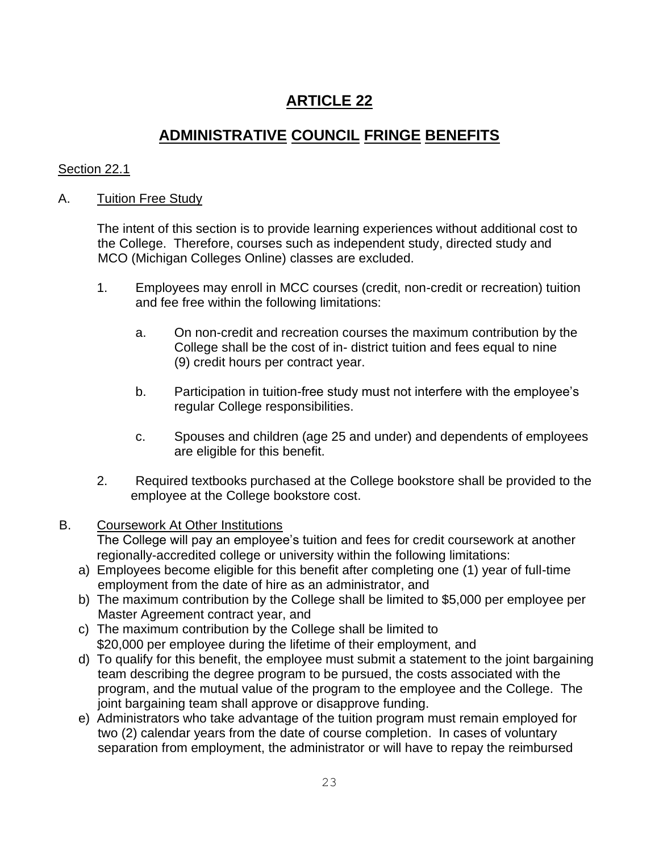### **ADMINISTRATIVE COUNCIL FRINGE BENEFITS**

### Section 22.1

### A. Tuition Free Study

The intent of this section is to provide learning experiences without additional cost to the College. Therefore, courses such as independent study, directed study and MCO (Michigan Colleges Online) classes are excluded.

- 1. Employees may enroll in MCC courses (credit, non-credit or recreation) tuition and fee free within the following limitations:
	- a. On non-credit and recreation courses the maximum contribution by the College shall be the cost of in- district tuition and fees equal to nine (9) credit hours per contract year.
	- b. Participation in tuition-free study must not interfere with the employee's regular College responsibilities.
	- c. Spouses and children (age 25 and under) and dependents of employees are eligible for this benefit.
- 2. Required textbooks purchased at the College bookstore shall be provided to the employee at the College bookstore cost.

### B. Coursework At Other Institutions

The College will pay an employee's tuition and fees for credit coursework at another regionally-accredited college or university within the following limitations:

- a) Employees become eligible for this benefit after completing one (1) year of full-time employment from the date of hire as an administrator, and
- b) The maximum contribution by the College shall be limited to \$5,000 per employee per Master Agreement contract year, and
- c) The maximum contribution by the College shall be limited to \$20,000 per employee during the lifetime of their employment, and
- d) To qualify for this benefit, the employee must submit a statement to the joint bargaining team describing the degree program to be pursued, the costs associated with the program, and the mutual value of the program to the employee and the College. The joint bargaining team shall approve or disapprove funding.
- e) Administrators who take advantage of the tuition program must remain employed for two (2) calendar years from the date of course completion. In cases of voluntary separation from employment, the administrator or will have to repay the reimbursed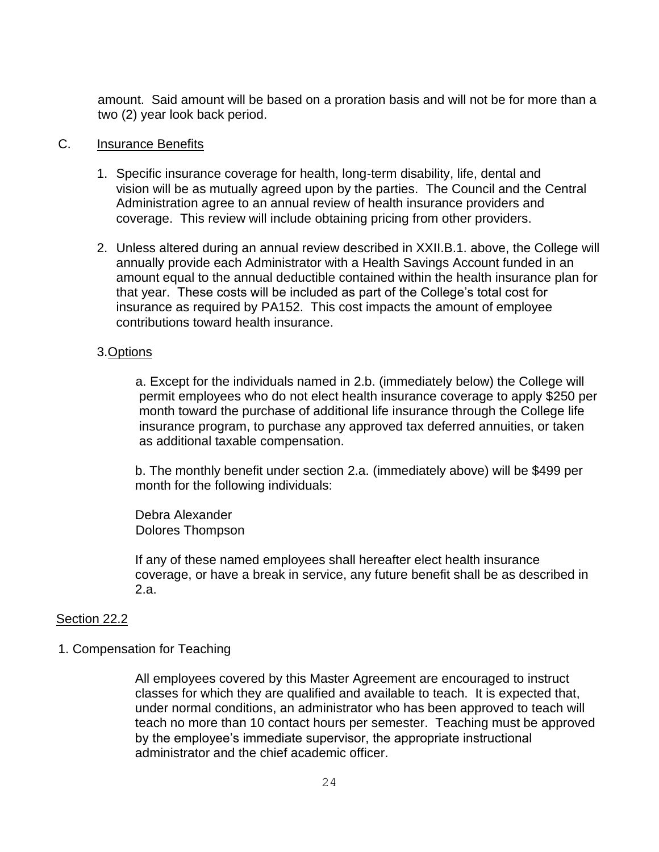amount. Said amount will be based on a proration basis and will not be for more than a two (2) year look back period.

#### C. Insurance Benefits

- 1. Specific insurance coverage for health, long-term disability, life, dental and vision will be as mutually agreed upon by the parties. The Council and the Central Administration agree to an annual review of health insurance providers and coverage. This review will include obtaining pricing from other providers.
- 2. Unless altered during an annual review described in XXII.B.1. above, the College will annually provide each Administrator with a Health Savings Account funded in an amount equal to the annual deductible contained within the health insurance plan for that year. These costs will be included as part of the College's total cost for insurance as required by PA152. This cost impacts the amount of employee contributions toward health insurance.

#### 3.Options

a. Except for the individuals named in 2.b. (immediately below) the College will permit employees who do not elect health insurance coverage to apply \$250 per month toward the purchase of additional life insurance through the College life insurance program, to purchase any approved tax deferred annuities, or taken as additional taxable compensation.

 b. The monthly benefit under section 2.a. (immediately above) will be \$499 per month for the following individuals:

 Debra Alexander Dolores Thompson

 If any of these named employees shall hereafter elect health insurance coverage, or have a break in service, any future benefit shall be as described in 2.a.

#### Section 22.2

#### 1. Compensation for Teaching

All employees covered by this Master Agreement are encouraged to instruct classes for which they are qualified and available to teach. It is expected that, under normal conditions, an administrator who has been approved to teach will teach no more than 10 contact hours per semester. Teaching must be approved by the employee's immediate supervisor, the appropriate instructional administrator and the chief academic officer.